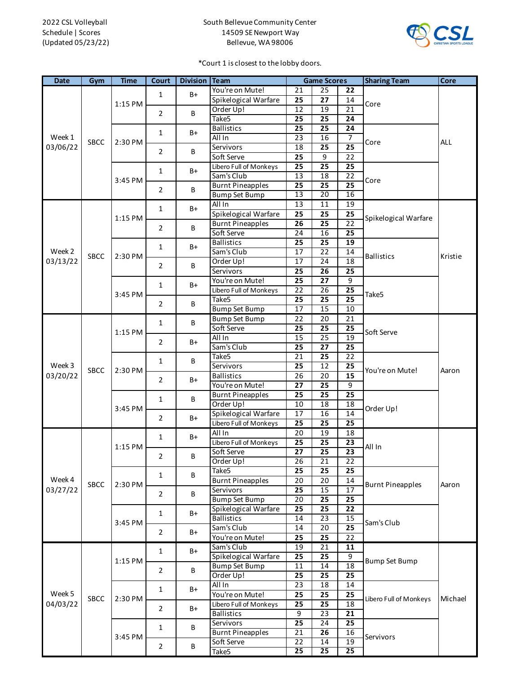## South Bellevue Community Center 14509 SE Newport Way Bellevue, WA 98006



\*Court 1 is closest to the lobby doors.

| <b>Date</b>        | Gym         | <b>Time</b> | Court                          | <b>Division Team</b> |                         | <b>Game Scores</b> |                 |                 | <b>Sharing Team</b>                                  | Core    |
|--------------------|-------------|-------------|--------------------------------|----------------------|-------------------------|--------------------|-----------------|-----------------|------------------------------------------------------|---------|
|                    |             | 1:15 PM     | $\mathbf{1}$<br>$\overline{2}$ | $B+$<br>B            | You're on Mute!         | 21                 | 25              | 22              | Core                                                 |         |
|                    |             |             |                                |                      | Spikelogical Warfare    | 25                 | 27              | 14              |                                                      |         |
|                    |             |             |                                |                      | Order Up!               | $\overline{12}$    | 19              | $\overline{21}$ |                                                      |         |
|                    |             |             |                                |                      | Take <sub>5</sub>       | 25                 | $\overline{25}$ | 24              |                                                      |         |
|                    |             |             | 1                              | B+                   | <b>Ballistics</b>       | 25                 | $\overline{25}$ | 24              | Core                                                 | ALL     |
| Week 1             | SBCC        | 2:30 PM     |                                |                      | All In                  | 23                 | 16              | 7               |                                                      |         |
| 03/06/22           |             |             | 2                              | B                    | Servivors               | 18                 | 25              | $\overline{25}$ |                                                      |         |
|                    |             |             |                                |                      | Soft Serve              | 25                 | 9               | 22              |                                                      |         |
|                    |             | 3:45 PM     | 1                              | B+                   | Libero Full of Monkeys  | $\overline{25}$    | $\overline{25}$ | 25              | Core                                                 |         |
|                    |             |             |                                |                      | Sam's Club              | 13                 | 18              | $\overline{22}$ |                                                      |         |
|                    |             |             | 2                              | B                    | <b>Burnt Pineapples</b> | 25                 | 25              | 25              |                                                      |         |
|                    |             |             |                                |                      | <b>Bump Set Bump</b>    | $\overline{13}$    | 20              | 16              |                                                      |         |
|                    |             | 1:15 PM     | $\mathbf{1}$                   | B+                   | All In                  | 13                 | 11              | 19              |                                                      |         |
|                    |             |             |                                |                      | Spikelogical Warfare    | 25                 | 25              | 25              | Spikelogical Warfare                                 |         |
|                    |             |             | 2                              | B                    | <b>Burnt Pineapples</b> | 26                 | $\overline{25}$ | 22              | <b>Ballistics</b>                                    | Kristie |
|                    |             |             |                                |                      | Soft Serve              | 24                 | 16              | 25              |                                                      |         |
|                    |             | 2:30 PM     | 1<br>2                         | B+<br>B              | <b>Ballistics</b>       | 25                 | 25              | 19              |                                                      |         |
| Week 2             | <b>SBCC</b> |             |                                |                      | Sam's Club              | 17                 | 22              | 14              |                                                      |         |
| 03/13/22           |             |             |                                |                      | Order Up!               | 17                 | 24              | 18              |                                                      |         |
|                    |             |             |                                |                      | Servivors               | 25                 | 26              | 25              |                                                      |         |
|                    |             |             | $\mathbf{1}$                   | B+                   | You're on Mute!         | 25                 | 27              | 9               |                                                      |         |
|                    |             | 3:45 PM     |                                |                      | Libero Full of Monkeys  | 22                 | 26              | 25              | Take5                                                |         |
|                    |             |             | 2                              | B                    | Take <sub>5</sub>       | $\overline{25}$    | $\overline{25}$ | $\overline{25}$ |                                                      |         |
|                    |             |             |                                |                      | <b>Bump Set Bump</b>    | 17                 | 15              | 10              |                                                      |         |
|                    |             |             | 1                              | В                    | <b>Bump Set Bump</b>    | 22                 | 20              | 21              |                                                      |         |
|                    |             | 1:15 PM     |                                |                      | Soft Serve              | 25                 | 25              | 25              | Soft Serve                                           |         |
| Week 3             | <b>SBCC</b> |             | 2                              | B+                   | All In                  | 15                 | 25              | 19              |                                                      |         |
|                    |             |             |                                |                      | Sam's Club              | 25                 | $\overline{27}$ | 25              |                                                      |         |
|                    |             | 2:30 PM     | 1                              | B                    | Take5                   | 21                 | 25              | 22              |                                                      |         |
|                    |             |             |                                |                      | Servivors               | 25                 | 12              | 25              | You're on Mute!                                      | Aaron   |
| 03/20/22           |             |             | 2                              | B+                   | <b>Ballistics</b>       | $\overline{26}$    | $\overline{20}$ | 15              |                                                      |         |
|                    |             |             |                                |                      | You're on Mute!         | $\overline{27}$    | 25              | $\overline{9}$  |                                                      |         |
|                    |             | 3:45 PM     | 1                              | B                    | <b>Burnt Pineapples</b> | 25                 | $\overline{25}$ | 25              |                                                      |         |
|                    |             |             |                                |                      | Order Up!               | 10                 | 18              | 18              | Order Up!                                            |         |
|                    |             |             | $\overline{2}$                 | B+                   | Spikelogical Warfare    | 17                 | 16              | 14              |                                                      |         |
|                    |             |             |                                |                      | Libero Full of Monkeys  | 25                 | 25              | 25              |                                                      |         |
|                    | SBCC        | 1:15 PM     | $\mathbf{1}$                   | B+                   | All In                  | 20                 | 19              | 18              | All In                                               | Aaron   |
|                    |             |             |                                |                      | Libero Full of Monkeys  | 25                 | $\overline{25}$ | 23              |                                                      |         |
|                    |             |             | 2                              | B                    | Soft Serve              | 27                 | 25              | $\overline{23}$ |                                                      |         |
| Week 4<br>03/27/22 |             |             |                                |                      | Order Up!               | 26                 | 21              | 22              |                                                      |         |
|                    |             | 2:30 PM     | 1                              | B                    | Take <sub>5</sub>       | 25                 | 25              | 25              | <b>Burnt Pineapples</b>                              |         |
|                    |             |             |                                |                      | <b>Burnt Pineapples</b> | 20                 | 20              | 14              |                                                      |         |
|                    |             |             | $\overline{2}$                 | B                    | Servivors               | 25                 | 15              | 17              |                                                      |         |
|                    |             |             |                                |                      | <b>Bump Set Bump</b>    | $\overline{20}$    | 25              | 25              |                                                      |         |
|                    |             | 3:45 PM     | $\mathbf 1$                    | $B+$                 | Spikelogical Warfare    | 25                 | $\overline{25}$ | 22              | Sam's Club                                           |         |
|                    |             |             |                                |                      | <b>Ballistics</b>       | 14                 | $\overline{23}$ | $\overline{15}$ |                                                      |         |
|                    |             |             | 2                              | B+                   | Sam's Club              | 14                 | 20              | 25              |                                                      |         |
|                    |             |             |                                |                      | You're on Mute!         | 25                 | $\overline{25}$ | 22              |                                                      |         |
| Week 5<br>04/03/22 | SBCC        | 1:15 PM     | 1                              | B+                   | Sam's Club              | 19                 | 21              | 11              | Bump Set Bump<br>Libero Full of Monkeys<br>Servivors | Michael |
|                    |             |             |                                |                      | Spikelogical Warfare    | $\overline{25}$    | 25              | 9               |                                                      |         |
|                    |             |             | $\overline{2}$                 | B                    | <b>Bump Set Bump</b>    | 11                 | 14              | 18              |                                                      |         |
|                    |             |             |                                |                      | Order Up!               | 25                 | $\overline{25}$ | 25              |                                                      |         |
|                    |             | 2:30 PM     | 1                              | B+                   | All In                  | $\overline{23}$    | 18              | 14              |                                                      |         |
|                    |             |             |                                |                      | You're on Mute!         | 25                 | 25              | 25              |                                                      |         |
|                    |             |             | 2                              | B+                   | Libero Full of Monkeys  | $\overline{25}$    | $\overline{25}$ | 18              |                                                      |         |
|                    |             |             |                                |                      | <b>Ballistics</b>       | 9                  | 23              | 21              |                                                      |         |
|                    |             | 3:45 PM     | 1                              | В                    | Servivors               | $\overline{25}$    | $\overline{24}$ | $\overline{25}$ |                                                      |         |
|                    |             |             | $\overline{2}$                 |                      | <b>Burnt Pineapples</b> | 21                 | 26              | 16              |                                                      |         |
|                    |             |             |                                | B                    | Soft Serve              | 22                 | 14              | 19              |                                                      |         |
|                    |             |             |                                |                      | Take5                   | 25                 | 25              | 25              |                                                      |         |